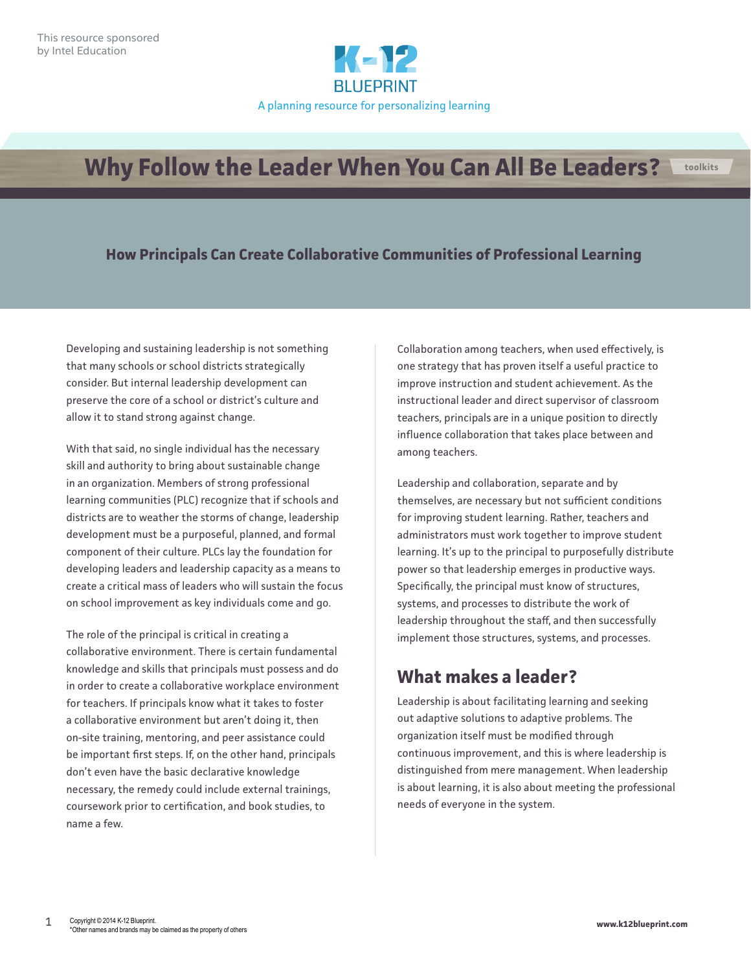

# **Why Follow the Leader When You Can All Be Leaders?**

#### **How Principals Can Create Collaborative Communities of Professional Learning**

Developing and sustaining leadership is not something that many schools or school districts strategically consider. But internal leadership development can preserve the core of a school or district's culture and allow it to stand strong against change.

With that said, no single individual has the necessary skill and authority to bring about sustainable change in an organization. Members of strong professional learning communities (PLC) recognize that if schools and districts are to weather the storms of change, leadership development must be a purposeful, planned, and formal component of their culture. PLCs lay the foundation for developing leaders and leadership capacity as a means to create a critical mass of leaders who will sustain the focus on school improvement as key individuals come and go.

The role of the principal is critical in creating a collaborative environment. There is certain fundamental knowledge and skills that principals must possess and do in order to create a collaborative workplace environment for teachers. If principals know what it takes to foster a collaborative environment but aren't doing it, then on-site training, mentoring, and peer assistance could be important first steps. If, on the other hand, principals don't even have the basic declarative knowledge necessary, the remedy could include external trainings, coursework prior to certification, and book studies, to name a few.

Collaboration among teachers, when used effectively, is one strategy that has proven itself a useful practice to improve instruction and student achievement. As the instructional leader and direct supervisor of classroom teachers, principals are in a unique position to directly influence collaboration that takes place between and among teachers.

Leadership and collaboration, separate and by themselves, are necessary but not sufficient conditions for improving student learning. Rather, teachers and administrators must work together to improve student learning. It's up to the principal to purposefully distribute power so that leadership emerges in productive ways. Specifically, the principal must know of structures, systems, and processes to distribute the work of leadership throughout the staff, and then successfully implement those structures, systems, and processes.

# **What makes a leader?**

Leadership is about facilitating learning and seeking out adaptive solutions to adaptive problems. The organization itself must be modified through continuous improvement, and this is where leadership is distinguished from mere management. When leadership is about learning, it is also about meeting the professional needs of everyone in the system.

**toolkits**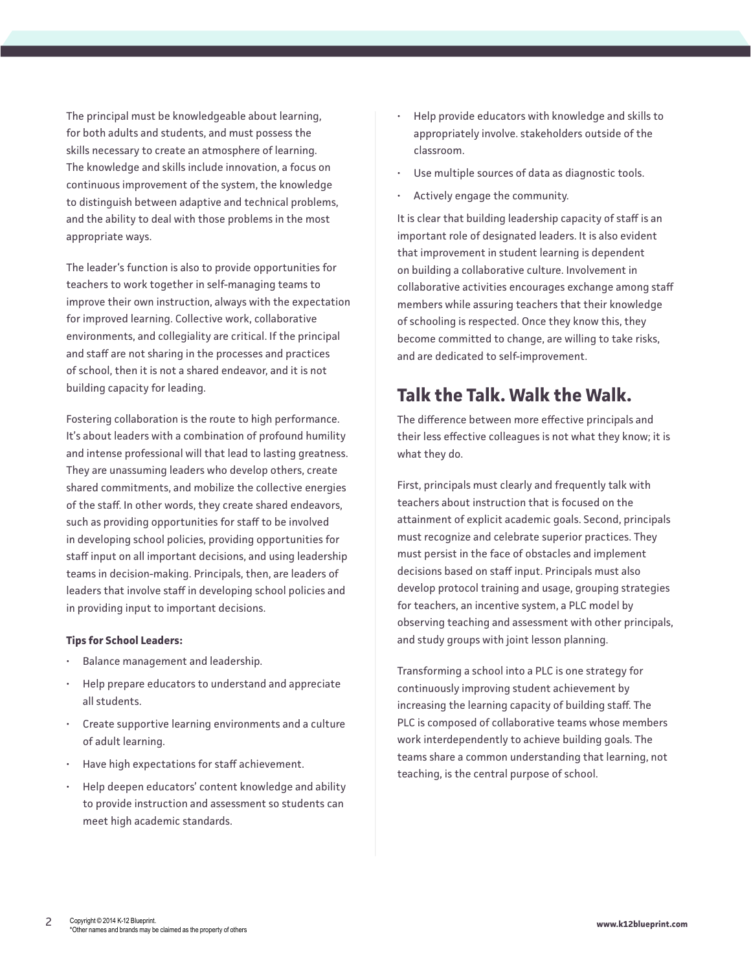The principal must be knowledgeable about learning, for both adults and students, and must possess the skills necessary to create an atmosphere of learning. The knowledge and skills include innovation, a focus on continuous improvement of the system, the knowledge to distinguish between adaptive and technical problems, and the ability to deal with those problems in the most appropriate ways.

The leader's function is also to provide opportunities for teachers to work together in self-managing teams to improve their own instruction, always with the expectation for improved learning. Collective work, collaborative environments, and collegiality are critical. If the principal and staff are not sharing in the processes and practices of school, then it is not a shared endeavor, and it is not building capacity for leading.

Fostering collaboration is the route to high performance. It's about leaders with a combination of profound humility and intense professional will that lead to lasting greatness. They are unassuming leaders who develop others, create shared commitments, and mobilize the collective energies of the staff. In other words, they create shared endeavors, such as providing opportunities for staff to be involved in developing school policies, providing opportunities for staff input on all important decisions, and using leadership teams in decision-making. Principals, then, are leaders of leaders that involve staff in developing school policies and in providing input to important decisions.

#### **Tips for School Leaders:**

- Balance management and leadership.
- Help prepare educators to understand and appreciate all students.
- Create supportive learning environments and a culture of adult learning.
- Have high expectations for staff achievement.
- Help deepen educators' content knowledge and ability to provide instruction and assessment so students can meet high academic standards.
- Help provide educators with knowledge and skills to appropriately involve. stakeholders outside of the classroom.
- Use multiple sources of data as diagnostic tools.
- Actively engage the community.

It is clear that building leadership capacity of staff is an important role of designated leaders. It is also evident that improvement in student learning is dependent on building a collaborative culture. Involvement in collaborative activities encourages exchange among staff members while assuring teachers that their knowledge of schooling is respected. Once they know this, they become committed to change, are willing to take risks, and are dedicated to self-improvement.

### **Talk the Talk. Walk the Walk.**

The difference between more effective principals and their less effective colleagues is not what they know; it is what they do.

First, principals must clearly and frequently talk with teachers about instruction that is focused on the attainment of explicit academic goals. Second, principals must recognize and celebrate superior practices. They must persist in the face of obstacles and implement decisions based on staff input. Principals must also develop protocol training and usage, grouping strategies for teachers, an incentive system, a PLC model by observing teaching and assessment with other principals, and study groups with joint lesson planning.

Transforming a school into a PLC is one strategy for continuously improving student achievement by increasing the learning capacity of building staff. The PLC is composed of collaborative teams whose members work interdependently to achieve building goals. The teams share a common understanding that learning, not teaching, is the central purpose of school.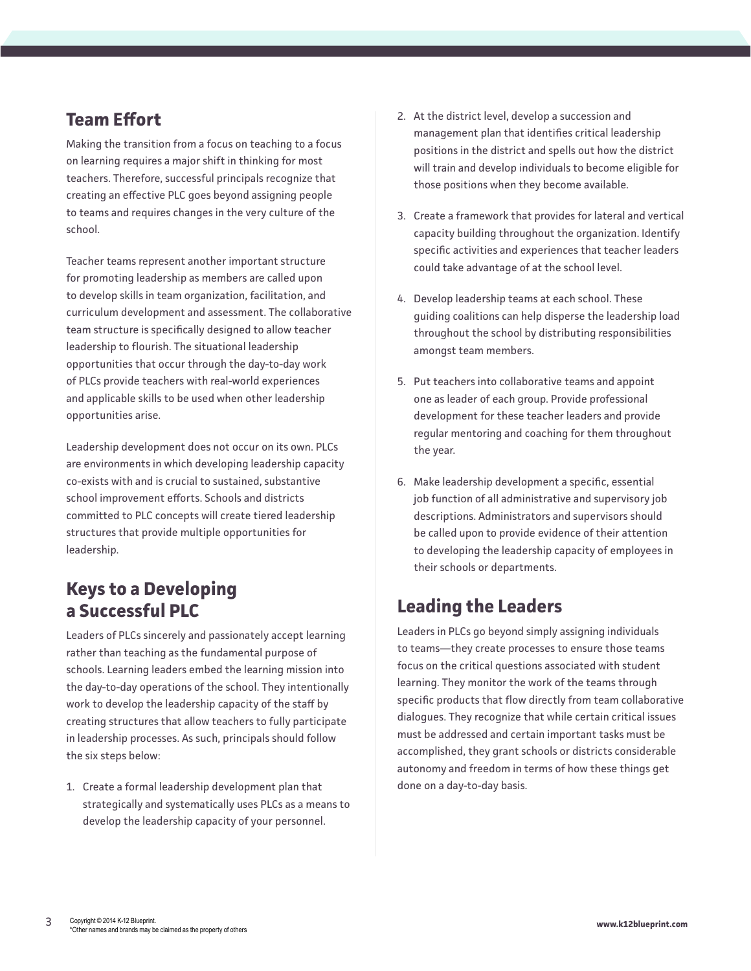# **Team Effort**

Making the transition from a focus on teaching to a focus on learning requires a major shift in thinking for most teachers. Therefore, successful principals recognize that creating an effective PLC goes beyond assigning people to teams and requires changes in the very culture of the school.

Teacher teams represent another important structure for promoting leadership as members are called upon to develop skills in team organization, facilitation, and curriculum development and assessment. The collaborative team structure is specifically designed to allow teacher leadership to flourish. The situational leadership opportunities that occur through the day-to-day work of PLCs provide teachers with real-world experiences and applicable skills to be used when other leadership opportunities arise.

Leadership development does not occur on its own. PLCs are environments in which developing leadership capacity co-exists with and is crucial to sustained, substantive school improvement efforts. Schools and districts committed to PLC concepts will create tiered leadership structures that provide multiple opportunities for leadership.

# **Keys to a Developing a Successful PLC**

Leaders of PLCs sincerely and passionately accept learning rather than teaching as the fundamental purpose of schools. Learning leaders embed the learning mission into the day-to-day operations of the school. They intentionally work to develop the leadership capacity of the staff by creating structures that allow teachers to fully participate in leadership processes. As such, principals should follow the six steps below:

1. Create a formal leadership development plan that strategically and systematically uses PLCs as a means to develop the leadership capacity of your personnel.

- 2. At the district level, develop a succession and management plan that identifies critical leadership positions in the district and spells out how the district will train and develop individuals to become eligible for those positions when they become available.
- 3. Create a framework that provides for lateral and vertical capacity building throughout the organization. Identify specific activities and experiences that teacher leaders could take advantage of at the school level.
- 4. Develop leadership teams at each school. These guiding coalitions can help disperse the leadership load throughout the school by distributing responsibilities amongst team members.
- 5. Put teachers into collaborative teams and appoint one as leader of each group. Provide professional development for these teacher leaders and provide regular mentoring and coaching for them throughout the year.
- 6. Make leadership development a specific, essential job function of all administrative and supervisory job descriptions. Administrators and supervisors should be called upon to provide evidence of their attention to developing the leadership capacity of employees in their schools or departments.

# **Leading the Leaders**

Leaders in PLCs go beyond simply assigning individuals to teams—they create processes to ensure those teams focus on the critical questions associated with student learning. They monitor the work of the teams through specific products that flow directly from team collaborative dialogues. They recognize that while certain critical issues must be addressed and certain important tasks must be accomplished, they grant schools or districts considerable autonomy and freedom in terms of how these things get done on a day-to-day basis.